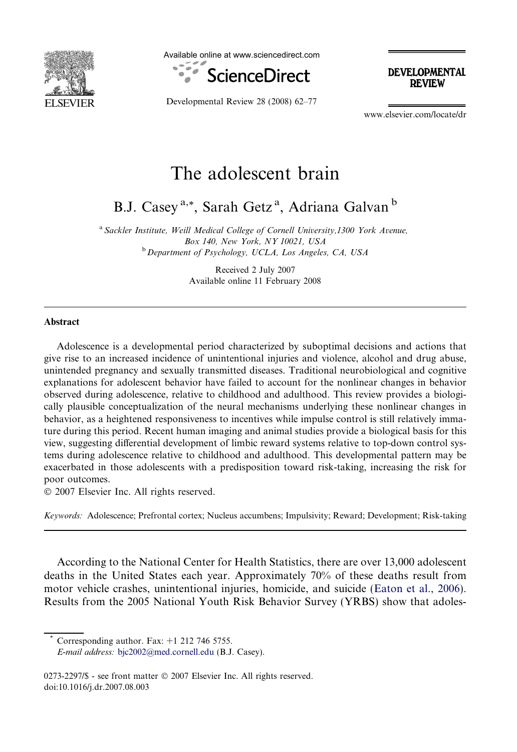

Available online at www.sciencedirect.com



**DEVELOPMENTAL REVIEW** 

Developmental Review 28 (2008) 62–77

www.elsevier.com/locate/dr

# The adolescent brain

B.J. Casey<sup>a,\*</sup>, Sarah Getz<sup>a</sup>, Adriana Galvan b

<sup>a</sup> Sackler Institute, Weill Medical College of Cornell University,1300 York Avenue, Box 140, New York, NY 10021, USA <sup>b</sup> Department of Psychology, UCLA, Los Angeles, CA, USA

> Received 2 July 2007 Available online 11 February 2008

#### **Abstract**

Adolescence is a developmental period characterized by suboptimal decisions and actions that give rise to an increased incidence of unintentional injuries and violence, alcohol and drug abuse, unintended pregnancy and sexually transmitted diseases. Traditional neurobiological and cognitive explanations for adolescent behavior have failed to account for the nonlinear changes in behavior observed during adolescence, relative to childhood and adulthood. This review provides a biologically plausible conceptualization of the neural mechanisms underlying these nonlinear changes in behavior, as a heightened responsiveness to incentives while impulse control is still relatively immature during this period. Recent human imaging and animal studies provide a biological basis for this view, suggesting differential development of limbic reward systems relative to top-down control systems during adolescence relative to childhood and adulthood. This developmental pattern may be exacerbated in those adolescents with a predisposition toward risk-taking, increasing the risk for poor outcomes.

© 2007 Elsevier Inc. All rights reserved.

Keywords: Adolescence; Prefrontal cortex; Nucleus accumbens; Impulsivity; Reward; Development; Risk-taking

According to the National Center for Health Statistics, there are over 13,000 adolescent deaths in the United States each year. Approximately 70% of these deaths result from motor vehicle crashes, unintentional injuries, homicide, and suicide ([Eaton et al., 2006](#page-13-0)). Results from the 2005 National Youth Risk Behavior Survey (YRBS) show that adoles-

Corresponding author. Fax:  $+1$  212 746 5755. E-mail address: [bjc2002@med.cornell.edu](mailto:bjc2002@med.cornell.edu) (B.J. Casey).

<sup>0273-2297/\$ -</sup> see front matter © 2007 Elsevier Inc. All rights reserved. doi:10.1016/j.dr.2007.08.003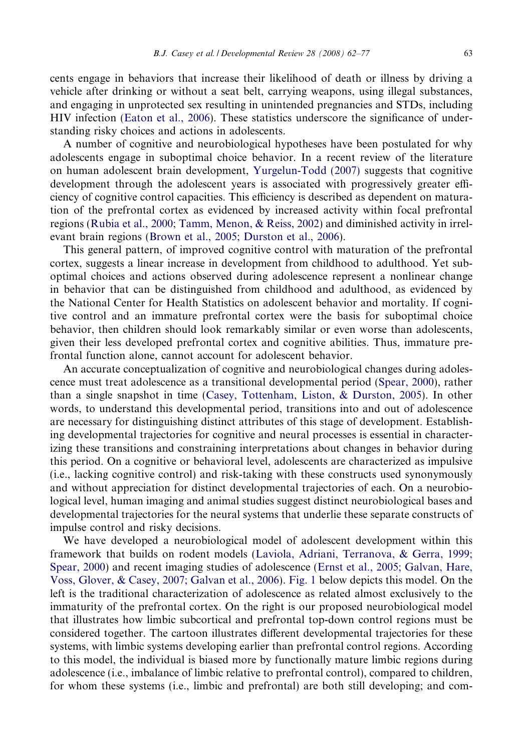cents engage in behaviors that increase their likelihood of death or illness by driving a vehicle after drinking or without a seat belt, carrying weapons, using illegal substances, and engaging in unprotected sex resulting in unintended pregnancies and STDs, including HIV infection [\(Eaton et al., 2006\)](#page-13-0). These statistics underscore the significance of understanding risky choices and actions in adolescents.

A number of cognitive and neurobiological hypotheses have been postulated for why adolescents engage in suboptimal choice behavior. In a recent review of the literature on human adolescent brain development, [Yurgelun-Todd \(2007\)](#page-15-0) suggests that cognitive development through the adolescent years is associated with progressively greater efficiency of cognitive control capacities. This efficiency is described as dependent on maturation of the prefrontal cortex as evidenced by increased activity within focal prefrontal regions ([Rubia et al., 2000; Tamm, Menon, & Reiss, 2002](#page-14-0)) and diminished activity in irrelevant brain regions [\(Brown et al., 2005; Durston et al., 2006](#page-12-0)).

This general pattern, of improved cognitive control with maturation of the prefrontal cortex, suggests a linear increase in development from childhood to adulthood. Yet suboptimal choices and actions observed during adolescence represent a nonlinear change in behavior that can be distinguished from childhood and adulthood, as evidenced by the National Center for Health Statistics on adolescent behavior and mortality. If cognitive control and an immature prefrontal cortex were the basis for suboptimal choice behavior, then children should look remarkably similar or even worse than adolescents, given their less developed prefrontal cortex and cognitive abilities. Thus, immature prefrontal function alone, cannot account for adolescent behavior.

An accurate conceptualization of cognitive and neurobiological changes during adolescence must treat adolescence as a transitional developmental period ([Spear, 2000\)](#page-15-0), rather than a single snapshot in time ([Casey, Tottenham, Liston, & Durston, 2005\)](#page-12-0). In other words, to understand this developmental period, transitions into and out of adolescence are necessary for distinguishing distinct attributes of this stage of development. Establishing developmental trajectories for cognitive and neural processes is essential in characterizing these transitions and constraining interpretations about changes in behavior during this period. On a cognitive or behavioral level, adolescents are characterized as impulsive (i.e., lacking cognitive control) and risk-taking with these constructs used synonymously and without appreciation for distinct developmental trajectories of each. On a neurobiological level, human imaging and animal studies suggest distinct neurobiological bases and developmental trajectories for the neural systems that underlie these separate constructs of impulse control and risky decisions.

We have developed a neurobiological model of adolescent development within this framework that builds on rodent models [\(Laviola, Adriani, Terranova, & Gerra, 1999;](#page-14-0) [Spear, 2000](#page-14-0)) and recent imaging studies of adolescence [\(Ernst et al., 2005; Galvan, Hare,](#page-13-0) [Voss, Glover, & Casey, 2007; Galvan et al., 2006\)](#page-13-0). [Fig. 1](#page-2-0) below depicts this model. On the left is the traditional characterization of adolescence as related almost exclusively to the immaturity of the prefrontal cortex. On the right is our proposed neurobiological model that illustrates how limbic subcortical and prefrontal top-down control regions must be considered together. The cartoon illustrates different developmental trajectories for these systems, with limbic systems developing earlier than prefrontal control regions. According to this model, the individual is biased more by functionally mature limbic regions during adolescence (i.e., imbalance of limbic relative to prefrontal control), compared to children, for whom these systems (i.e., limbic and prefrontal) are both still developing; and com-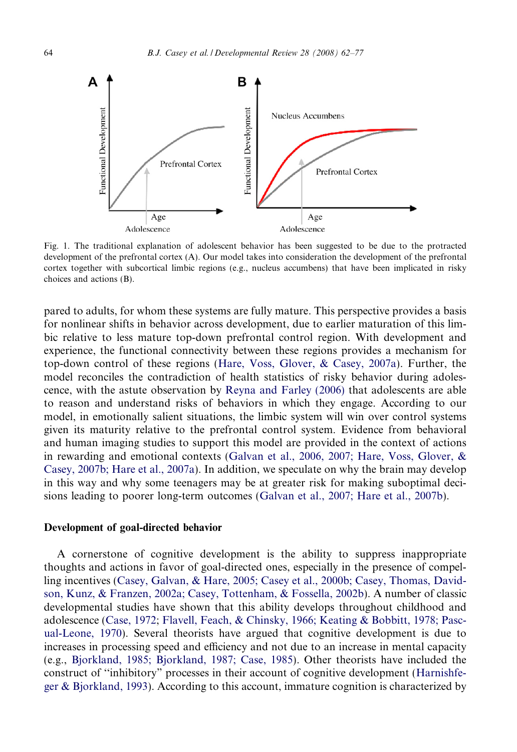<span id="page-2-0"></span>

Fig. 1. The traditional explanation of adolescent behavior has been suggested to be due to the protracted development of the prefrontal cortex (A). Our model takes into consideration the development of the prefrontal cortex together with subcortical limbic regions (e.g., nucleus accumbens) that have been implicated in risky choices and actions (B).

pared to adults, for whom these systems are fully mature. This perspective provides a basis for nonlinear shifts in behavior across development, due to earlier maturation of this limbic relative to less mature top-down prefrontal control region. With development and experience, the functional connectivity between these regions provides a mechanism for top-down control of these regions [\(Hare, Voss, Glover, & Casey, 2007a\)](#page-13-0). Further, the model reconciles the contradiction of health statistics of risky behavior during adolescence, with the astute observation by [Reyna and Farley \(2006\)](#page-14-0) that adolescents are able to reason and understand risks of behaviors in which they engage. According to our model, in emotionally salient situations, the limbic system will win over control systems given its maturity relative to the prefrontal control system. Evidence from behavioral and human imaging studies to support this model are provided in the context of actions in rewarding and emotional contexts [\(Galvan et al., 2006, 2007; Hare, Voss, Glover, &](#page-13-0) [Casey, 2007b; Hare et al., 2007a](#page-13-0)). In addition, we speculate on why the brain may develop in this way and why some teenagers may be at greater risk for making suboptimal decisions leading to poorer long-term outcomes [\(Galvan et al., 2007; Hare et al., 2007b\)](#page-13-0).

#### Development of goal-directed behavior

A cornerstone of cognitive development is the ability to suppress inappropriate thoughts and actions in favor of goal-directed ones, especially in the presence of compelling incentives [\(Casey, Galvan, & Hare, 2005; Casey et al., 2000b; Casey, Thomas, David](#page-12-0)[son, Kunz, & Franzen, 2002a; Casey, Tottenham, & Fossella, 2002b](#page-12-0)). A number of classic developmental studies have shown that this ability develops throughout childhood and adolescence ([Case, 1972;](#page-12-0) [Flavell, Feach, & Chinsky, 1966; Keating & Bobbitt, 1978; Pasc](#page-13-0)[ual-Leone, 1970](#page-13-0)). Several theorists have argued that cognitive development is due to increases in processing speed and efficiency and not due to an increase in mental capacity (e.g., [Bjorkland, 1985; Bjorkland, 1987; Case, 1985](#page-12-0)). Other theorists have included the construct of ''inhibitory" processes in their account of cognitive development ([Harnishfe](#page-13-0)[ger & Bjorkland, 1993\)](#page-13-0). According to this account, immature cognition is characterized by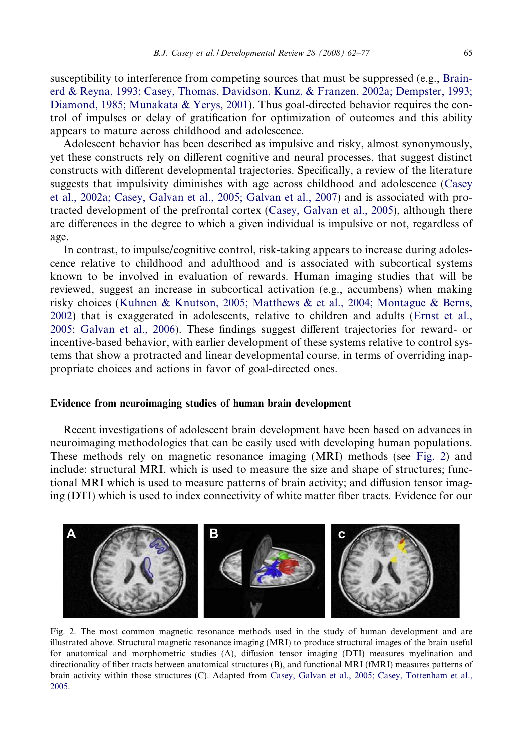susceptibility to interference from competing sources that must be suppressed (e.g., [Brain](#page-12-0)[erd & Reyna, 1993; Casey, Thomas, Davidson, Kunz, & Franzen, 2002a; Dempster, 1993;](#page-12-0) [Diamond, 1985; Munakata & Yerys, 2001\)](#page-12-0). Thus goal-directed behavior requires the control of impulses or delay of gratification for optimization of outcomes and this ability appears to mature across childhood and adolescence.

Adolescent behavior has been described as impulsive and risky, almost synonymously, yet these constructs rely on different cognitive and neural processes, that suggest distinct constructs with different developmental trajectories. Specifically, a review of the literature suggests that impulsivity diminishes with age across childhood and adolescence ([Casey](#page-12-0) [et al., 2002a; Casey, Galvan et al., 2005; Galvan et al., 2007](#page-12-0)) and is associated with protracted development of the prefrontal cortex [\(Casey, Galvan et al., 2005](#page-12-0)), although there are differences in the degree to which a given individual is impulsive or not, regardless of age.

In contrast, to impulse/cognitive control, risk-taking appears to increase during adolescence relative to childhood and adulthood and is associated with subcortical systems known to be involved in evaluation of rewards. Human imaging studies that will be reviewed, suggest an increase in subcortical activation (e.g., accumbens) when making risky choices ([Kuhnen & Knutson, 2005; Matthews & et al., 2004; Montague & Berns,](#page-13-0) [2002](#page-13-0)) that is exaggerated in adolescents, relative to children and adults [\(Ernst et al.,](#page-13-0) [2005; Galvan et al., 2006\)](#page-13-0). These findings suggest different trajectories for reward- or incentive-based behavior, with earlier development of these systems relative to control systems that show a protracted and linear developmental course, in terms of overriding inappropriate choices and actions in favor of goal-directed ones.

#### Evidence from neuroimaging studies of human brain development

Recent investigations of adolescent brain development have been based on advances in neuroimaging methodologies that can be easily used with developing human populations. These methods rely on magnetic resonance imaging (MRI) methods (see Fig. 2) and include: structural MRI, which is used to measure the size and shape of structures; functional MRI which is used to measure patterns of brain activity; and diffusion tensor imaging (DTI) which is used to index connectivity of white matter fiber tracts. Evidence for our



Fig. 2. The most common magnetic resonance methods used in the study of human development and are illustrated above. Structural magnetic resonance imaging (MRI) to produce structural images of the brain useful for anatomical and morphometric studies (A), diffusion tensor imaging (DTI) measures myelination and directionality of fiber tracts between anatomical structures (B), and functional MRI (fMRI) measures patterns of brain activity within those structures (C). Adapted from [Casey, Galvan et al., 2005; Casey, Tottenham et al.,](#page-12-0) [2005](#page-12-0).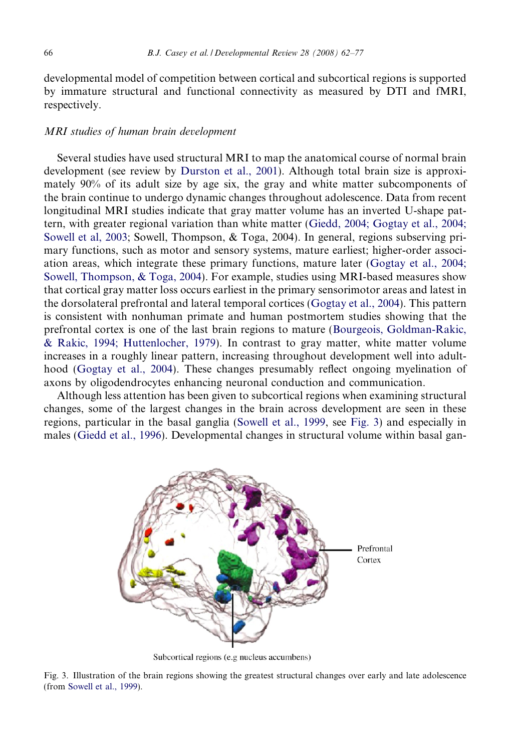developmental model of competition between cortical and subcortical regions is supported by immature structural and functional connectivity as measured by DTI and fMRI, respectively.

## MRI studies of human brain development

Several studies have used structural MRI to map the anatomical course of normal brain development (see review by [Durston et al., 2001\)](#page-13-0). Although total brain size is approximately 90% of its adult size by age six, the gray and white matter subcomponents of the brain continue to undergo dynamic changes throughout adolescence. Data from recent longitudinal MRI studies indicate that gray matter volume has an inverted U-shape pattern, with greater regional variation than white matter ([Giedd, 2004; Gogtay et al., 2004;](#page-13-0) [Sowell et al, 2003](#page-13-0); Sowell, Thompson, & Toga, 2004). In general, regions subserving primary functions, such as motor and sensory systems, mature earliest; higher-order association areas, which integrate these primary functions, mature later [\(Gogtay et al., 2004;](#page-13-0) [Sowell, Thompson, & Toga, 2004](#page-13-0)). For example, studies using MRI-based measures show that cortical gray matter loss occurs earliest in the primary sensorimotor areas and latest in the dorsolateral prefrontal and lateral temporal cortices ([Gogtay et al., 2004\)](#page-13-0). This pattern is consistent with nonhuman primate and human postmortem studies showing that the prefrontal cortex is one of the last brain regions to mature [\(Bourgeois, Goldman-Rakic,](#page-12-0) [& Rakic, 1994; Huttenlocher, 1979](#page-12-0)). In contrast to gray matter, white matter volume increases in a roughly linear pattern, increasing throughout development well into adulthood ([Gogtay et al., 2004](#page-13-0)). These changes presumably reflect ongoing myelination of axons by oligodendrocytes enhancing neuronal conduction and communication.

Although less attention has been given to subcortical regions when examining structural changes, some of the largest changes in the brain across development are seen in these regions, particular in the basal ganglia ([Sowell et al., 1999,](#page-15-0) see Fig. 3) and especially in males [\(Giedd et al., 1996\)](#page-13-0). Developmental changes in structural volume within basal gan-



Subcortical regions (e.g nucleus accumbens)

Fig. 3. Illustration of the brain regions showing the greatest structural changes over early and late adolescence (from [Sowell et al., 1999](#page-15-0)).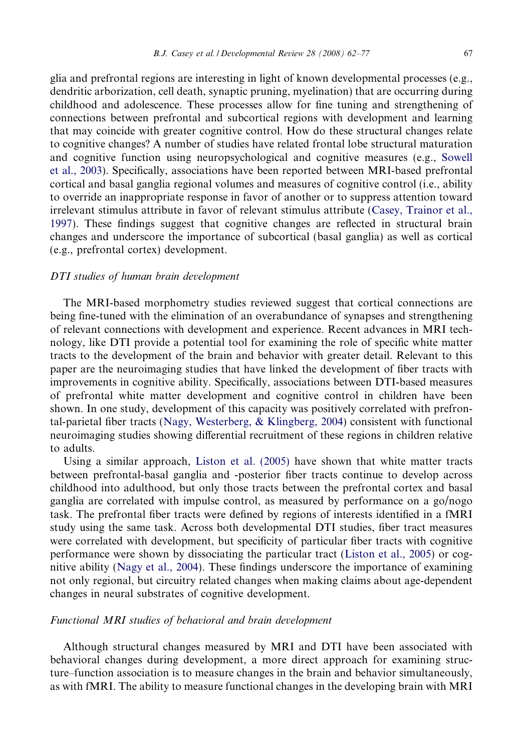glia and prefrontal regions are interesting in light of known developmental processes (e.g., dendritic arborization, cell death, synaptic pruning, myelination) that are occurring during childhood and adolescence. These processes allow for fine tuning and strengthening of connections between prefrontal and subcortical regions with development and learning that may coincide with greater cognitive control. How do these structural changes relate to cognitive changes? A number of studies have related frontal lobe structural maturation and cognitive function using neuropsychological and cognitive measures (e.g., [Sowell](#page-14-0) [et al., 2003](#page-14-0)). Specifically, associations have been reported between MRI-based prefrontal cortical and basal ganglia regional volumes and measures of cognitive control (i.e., ability to override an inappropriate response in favor of another or to suppress attention toward irrelevant stimulus attribute in favor of relevant stimulus attribute ([Casey, Trainor et al.,](#page-12-0) [1997](#page-12-0)). These findings suggest that cognitive changes are reflected in structural brain changes and underscore the importance of subcortical (basal ganglia) as well as cortical (e.g., prefrontal cortex) development.

#### DTI studies of human brain development

The MRI-based morphometry studies reviewed suggest that cortical connections are being fine-tuned with the elimination of an overabundance of synapses and strengthening of relevant connections with development and experience. Recent advances in MRI technology, like DTI provide a potential tool for examining the role of specific white matter tracts to the development of the brain and behavior with greater detail. Relevant to this paper are the neuroimaging studies that have linked the development of fiber tracts with improvements in cognitive ability. Specifically, associations between DTI-based measures of prefrontal white matter development and cognitive control in children have been shown. In one study, development of this capacity was positively correlated with prefrontal-parietal fiber tracts ([Nagy, Westerberg, & Klingberg, 2004\)](#page-14-0) consistent with functional neuroimaging studies showing differential recruitment of these regions in children relative to adults.

Using a similar approach, [Liston et al. \(2005\)](#page-14-0) have shown that white matter tracts between prefrontal-basal ganglia and -posterior fiber tracts continue to develop across childhood into adulthood, but only those tracts between the prefrontal cortex and basal ganglia are correlated with impulse control, as measured by performance on a go/nogo task. The prefrontal fiber tracts were defined by regions of interests identified in a fMRI study using the same task. Across both developmental DTI studies, fiber tract measures were correlated with development, but specificity of particular fiber tracts with cognitive performance were shown by dissociating the particular tract [\(Liston et al., 2005](#page-14-0)) or cognitive ability ([Nagy et al., 2004\)](#page-14-0). These findings underscore the importance of examining not only regional, but circuitry related changes when making claims about age-dependent changes in neural substrates of cognitive development.

#### Functional MRI studies of behavioral and brain development

Although structural changes measured by MRI and DTI have been associated with behavioral changes during development, a more direct approach for examining structure–function association is to measure changes in the brain and behavior simultaneously, as with fMRI. The ability to measure functional changes in the developing brain with MRI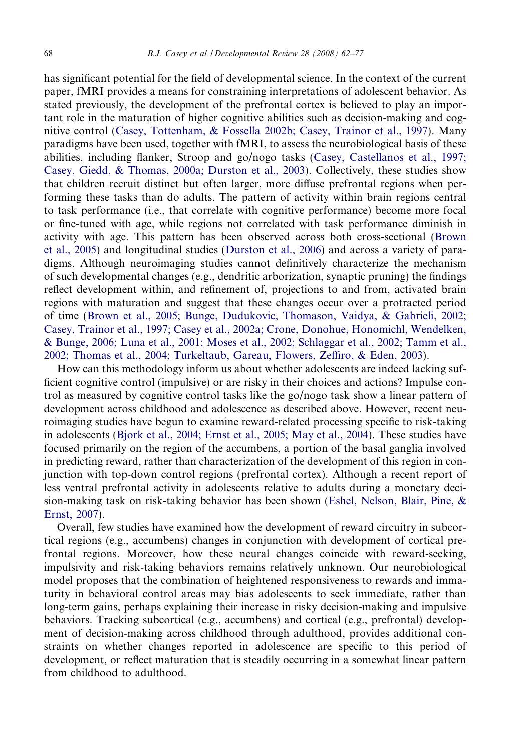has significant potential for the field of developmental science. In the context of the current paper, fMRI provides a means for constraining interpretations of adolescent behavior. As stated previously, the development of the prefrontal cortex is believed to play an important role in the maturation of higher cognitive abilities such as decision-making and cognitive control ([Casey, Tottenham, & Fossella 2002b; Casey, Trainor et al., 1997](#page-12-0)). Many paradigms have been used, together with fMRI, to assess the neurobiological basis of these abilities, including flanker, Stroop and go/nogo tasks [\(Casey, Castellanos et al., 1997;](#page-12-0) [Casey, Giedd, & Thomas, 2000a; Durston et al., 2003](#page-12-0)). Collectively, these studies show that children recruit distinct but often larger, more diffuse prefrontal regions when performing these tasks than do adults. The pattern of activity within brain regions central to task performance (i.e., that correlate with cognitive performance) become more focal or fine-tuned with age, while regions not correlated with task performance diminish in activity with age. This pattern has been observed across both cross-sectional ([Brown](#page-12-0) [et al., 2005](#page-12-0)) and longitudinal studies [\(Durston et al., 2006\)](#page-12-0) and across a variety of paradigms. Although neuroimaging studies cannot definitively characterize the mechanism of such developmental changes (e.g., dendritic arborization, synaptic pruning) the findings reflect development within, and refinement of, projections to and from, activated brain regions with maturation and suggest that these changes occur over a protracted period of time ([Brown et al., 2005; Bunge, Dudukovic, Thomason, Vaidya, & Gabrieli, 2002;](#page-12-0) [Casey, Trainor et al., 1997; Casey et al., 2002a; Crone, Donohue, Honomichl, Wendelken,](#page-12-0) [& Bunge, 2006; Luna et al., 2001; Moses et al., 2002; Schlaggar et al., 2002; Tamm et al.,](#page-12-0) [2002; Thomas et al., 2004; Turkeltaub, Gareau, Flowers, Zeffiro, & Eden, 2003\)](#page-12-0).

How can this methodology inform us about whether adolescents are indeed lacking sufficient cognitive control (impulsive) or are risky in their choices and actions? Impulse control as measured by cognitive control tasks like the go/nogo task show a linear pattern of development across childhood and adolescence as described above. However, recent neuroimaging studies have begun to examine reward-related processing specific to risk-taking in adolescents ([Bjork et al., 2004; Ernst et al., 2005; May et al., 2004\)](#page-12-0). These studies have focused primarily on the region of the accumbens, a portion of the basal ganglia involved in predicting reward, rather than characterization of the development of this region in conjunction with top-down control regions (prefrontal cortex). Although a recent report of less ventral prefrontal activity in adolescents relative to adults during a monetary decision-making task on risk-taking behavior has been shown [\(Eshel, Nelson, Blair, Pine, &](#page-13-0) [Ernst, 2007\)](#page-13-0).

Overall, few studies have examined how the development of reward circuitry in subcortical regions (e.g., accumbens) changes in conjunction with development of cortical prefrontal regions. Moreover, how these neural changes coincide with reward-seeking, impulsivity and risk-taking behaviors remains relatively unknown. Our neurobiological model proposes that the combination of heightened responsiveness to rewards and immaturity in behavioral control areas may bias adolescents to seek immediate, rather than long-term gains, perhaps explaining their increase in risky decision-making and impulsive behaviors. Tracking subcortical (e.g., accumbens) and cortical (e.g., prefrontal) development of decision-making across childhood through adulthood, provides additional constraints on whether changes reported in adolescence are specific to this period of development, or reflect maturation that is steadily occurring in a somewhat linear pattern from childhood to adulthood.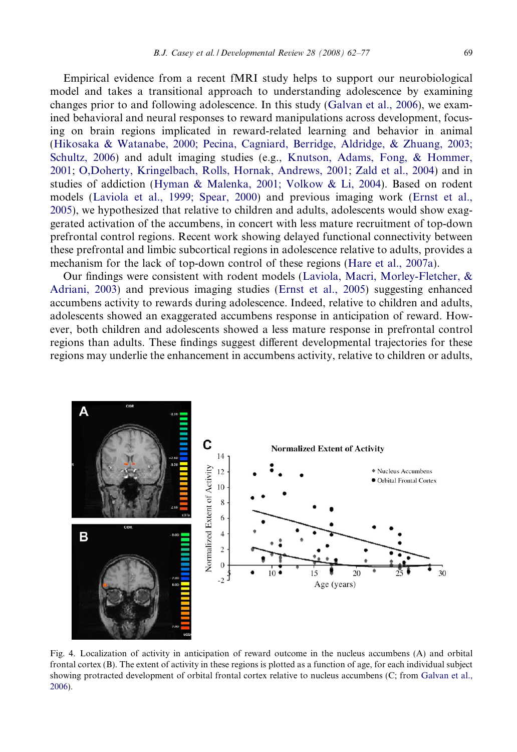<span id="page-7-0"></span>Empirical evidence from a recent fMRI study helps to support our neurobiological model and takes a transitional approach to understanding adolescence by examining changes prior to and following adolescence. In this study ([Galvan et al., 2006](#page-13-0)), we examined behavioral and neural responses to reward manipulations across development, focusing on brain regions implicated in reward-related learning and behavior in animal ([Hikosaka & Watanabe, 2000; Pecina, Cagniard, Berridge, Aldridge, & Zhuang, 2003;](#page-13-0) [Schultz, 2006](#page-13-0)) and adult imaging studies (e.g., [Knutson, Adams, Fong, & Hommer,](#page-13-0) [2001](#page-13-0); [O,Doherty, Kringelbach, Rolls, Hornak, Andrews, 2001;](#page-14-0) [Zald et al., 2004](#page-15-0)) and in studies of addiction [\(Hyman & Malenka, 2001; Volkow & Li, 2004\)](#page-13-0). Based on rodent models ([Laviola et al., 1999; Spear, 2000\)](#page-14-0) and previous imaging work ([Ernst et al.,](#page-13-0) [2005](#page-13-0)), we hypothesized that relative to children and adults, adolescents would show exaggerated activation of the accumbens, in concert with less mature recruitment of top-down prefrontal control regions. Recent work showing delayed functional connectivity between these prefrontal and limbic subcortical regions in adolescence relative to adults, provides a mechanism for the lack of top-down control of these regions [\(Hare et al., 2007a](#page-13-0)).

Our findings were consistent with rodent models ([Laviola, Macri, Morley-Fletcher, &](#page-14-0) [Adriani, 2003\)](#page-14-0) and previous imaging studies [\(Ernst et al., 2005\)](#page-13-0) suggesting enhanced accumbens activity to rewards during adolescence. Indeed, relative to children and adults, adolescents showed an exaggerated accumbens response in anticipation of reward. However, both children and adolescents showed a less mature response in prefrontal control regions than adults. These findings suggest different developmental trajectories for these regions may underlie the enhancement in accumbens activity, relative to children or adults,



Fig. 4. Localization of activity in anticipation of reward outcome in the nucleus accumbens (A) and orbital frontal cortex (B). The extent of activity in these regions is plotted as a function of age, for each individual subject showing protracted development of orbital frontal cortex relative to nucleus accumbens (C; from [Galvan et al.,](#page-13-0) [2006](#page-13-0)).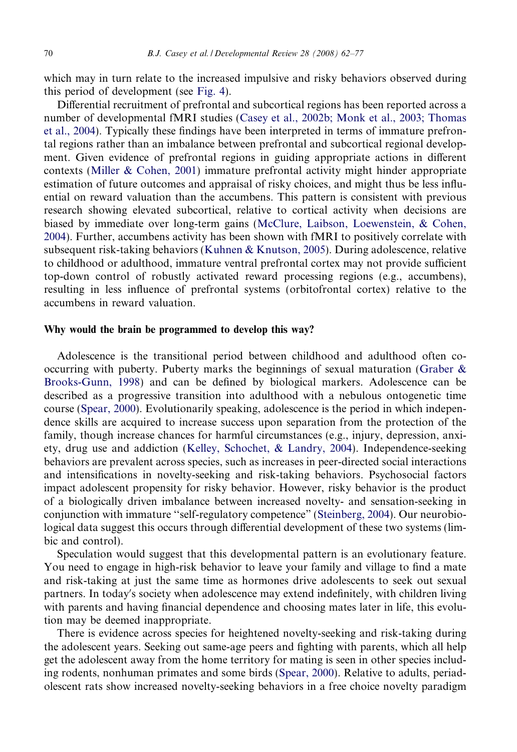which may in turn relate to the increased impulsive and risky behaviors observed during this period of development (see [Fig. 4\)](#page-7-0).

Differential recruitment of prefrontal and subcortical regions has been reported across a number of developmental fMRI studies [\(Casey et al., 2002b; Monk et al., 2003; Thomas](#page-12-0) [et al., 2004](#page-12-0)). Typically these findings have been interpreted in terms of immature prefrontal regions rather than an imbalance between prefrontal and subcortical regional development. Given evidence of prefrontal regions in guiding appropriate actions in different contexts [\(Miller & Cohen, 2001](#page-14-0)) immature prefrontal activity might hinder appropriate estimation of future outcomes and appraisal of risky choices, and might thus be less influential on reward valuation than the accumbens. This pattern is consistent with previous research showing elevated subcortical, relative to cortical activity when decisions are biased by immediate over long-term gains ([McClure, Laibson, Loewenstein, & Cohen,](#page-14-0) [2004\)](#page-14-0). Further, accumbens activity has been shown with fMRI to positively correlate with subsequent risk-taking behaviors [\(Kuhnen & Knutson, 2005\)](#page-13-0). During adolescence, relative to childhood or adulthood, immature ventral prefrontal cortex may not provide sufficient top-down control of robustly activated reward processing regions (e.g., accumbens), resulting in less influence of prefrontal systems (orbitofrontal cortex) relative to the accumbens in reward valuation.

## Why would the brain be programmed to develop this way?

Adolescence is the transitional period between childhood and adulthood often cooccurring with puberty. Puberty marks the beginnings of sexual maturation (Graber  $\&$ [Brooks-Gunn, 1998\)](#page-13-0) and can be defined by biological markers. Adolescence can be described as a progressive transition into adulthood with a nebulous ontogenetic time course [\(Spear, 2000\)](#page-15-0). Evolutionarily speaking, adolescence is the period in which independence skills are acquired to increase success upon separation from the protection of the family, though increase chances for harmful circumstances (e.g., injury, depression, anxiety, drug use and addiction [\(Kelley, Schochet, & Landry, 2004\)](#page-13-0). Independence-seeking behaviors are prevalent across species, such as increases in peer-directed social interactions and intensifications in novelty-seeking and risk-taking behaviors. Psychosocial factors impact adolescent propensity for risky behavior. However, risky behavior is the product of a biologically driven imbalance between increased novelty- and sensation-seeking in conjunction with immature ''self-regulatory competence" [\(Steinberg, 2004\)](#page-15-0). Our neurobiological data suggest this occurs through differential development of these two systems (limbic and control).

Speculation would suggest that this developmental pattern is an evolutionary feature. You need to engage in high-risk behavior to leave your family and village to find a mate and risk-taking at just the same time as hormones drive adolescents to seek out sexual partners. In today's society when adolescence may extend indefinitely, with children living with parents and having financial dependence and choosing mates later in life, this evolution may be deemed inappropriate.

There is evidence across species for heightened novelty-seeking and risk-taking during the adolescent years. Seeking out same-age peers and fighting with parents, which all help get the adolescent away from the home territory for mating is seen in other species including rodents, nonhuman primates and some birds ([Spear, 2000](#page-15-0)). Relative to adults, periadolescent rats show increased novelty-seeking behaviors in a free choice novelty paradigm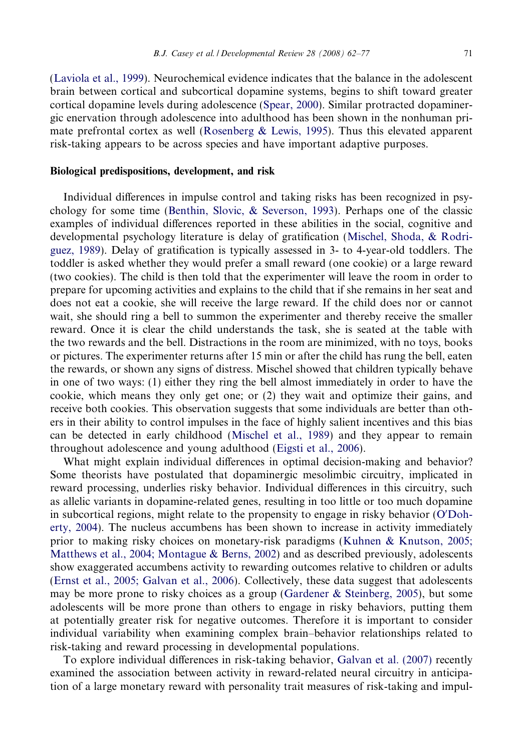([Laviola et al., 1999](#page-14-0)). Neurochemical evidence indicates that the balance in the adolescent brain between cortical and subcortical dopamine systems, begins to shift toward greater cortical dopamine levels during adolescence [\(Spear, 2000](#page-15-0)). Similar protracted dopaminergic enervation through adolescence into adulthood has been shown in the nonhuman primate prefrontal cortex as well [\(Rosenberg & Lewis, 1995\)](#page-14-0). Thus this elevated apparent risk-taking appears to be across species and have important adaptive purposes.

## Biological predispositions, development, and risk

Individual differences in impulse control and taking risks has been recognized in psychology for some time [\(Benthin, Slovic, & Severson, 1993](#page-12-0)). Perhaps one of the classic examples of individual differences reported in these abilities in the social, cognitive and developmental psychology literature is delay of gratification [\(Mischel, Shoda, & Rodri](#page-14-0)[guez, 1989\)](#page-14-0). Delay of gratification is typically assessed in 3- to 4-year-old toddlers. The toddler is asked whether they would prefer a small reward (one cookie) or a large reward (two cookies). The child is then told that the experimenter will leave the room in order to prepare for upcoming activities and explains to the child that if she remains in her seat and does not eat a cookie, she will receive the large reward. If the child does nor or cannot wait, she should ring a bell to summon the experimenter and thereby receive the smaller reward. Once it is clear the child understands the task, she is seated at the table with the two rewards and the bell. Distractions in the room are minimized, with no toys, books or pictures. The experimenter returns after 15 min or after the child has rung the bell, eaten the rewards, or shown any signs of distress. Mischel showed that children typically behave in one of two ways: (1) either they ring the bell almost immediately in order to have the cookie, which means they only get one; or (2) they wait and optimize their gains, and receive both cookies. This observation suggests that some individuals are better than others in their ability to control impulses in the face of highly salient incentives and this bias can be detected in early childhood ([Mischel et al., 1989](#page-14-0)) and they appear to remain throughout adolescence and young adulthood [\(Eigsti et al., 2006](#page-13-0)).

What might explain individual differences in optimal decision-making and behavior? Some theorists have postulated that dopaminergic mesolimbic circuitry, implicated in reward processing, underlies risky behavior. Individual differences in this circuitry, such as allelic variants in dopamine-related genes, resulting in too little or too much dopamine in subcortical regions, might relate to the propensity to engage in risky behavior [\(O](#page-14-0)'[Doh](#page-14-0)[erty, 2004](#page-14-0)). The nucleus accumbens has been shown to increase in activity immediately prior to making risky choices on monetary-risk paradigms ([Kuhnen & Knutson, 2005;](#page-13-0) Matthews et al., 2004; Montague  $\&$  Berns, 2002) and as described previously, adolescents show exaggerated accumbens activity to rewarding outcomes relative to children or adults ([Ernst et al., 2005; Galvan et al., 2006\)](#page-13-0). Collectively, these data suggest that adolescents may be more prone to risky choices as a group (Gardener  $\&$  Steinberg, 2005), but some adolescents will be more prone than others to engage in risky behaviors, putting them at potentially greater risk for negative outcomes. Therefore it is important to consider individual variability when examining complex brain–behavior relationships related to risk-taking and reward processing in developmental populations.

To explore individual differences in risk-taking behavior, [Galvan et al. \(2007\)](#page-13-0) recently examined the association between activity in reward-related neural circuitry in anticipation of a large monetary reward with personality trait measures of risk-taking and impul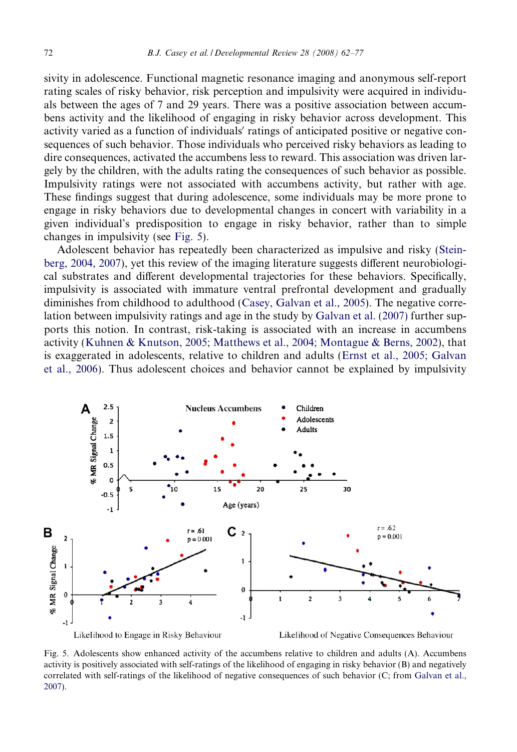sivity in adolescence. Functional magnetic resonance imaging and anonymous self-report rating scales of risky behavior, risk perception and impulsivity were acquired in individuals between the ages of 7 and 29 years. There was a positive association between accumbens activity and the likelihood of engaging in risky behavior across development. This activity varied as a function of individuals' ratings of anticipated positive or negative consequences of such behavior. Those individuals who perceived risky behaviors as leading to dire consequences, activated the accumbens less to reward. This association was driven largely by the children, with the adults rating the consequences of such behavior as possible. Impulsivity ratings were not associated with accumbens activity, but rather with age. These findings suggest that during adolescence, some individuals may be more prone to engage in risky behaviors due to developmental changes in concert with variability in a given individual's predisposition to engage in risky behavior, rather than to simple changes in impulsivity (see Fig. 5).

Adolescent behavior has repeatedly been characterized as impulsive and risky ([Stein](#page-15-0)[berg, 2004, 2007\)](#page-15-0), yet this review of the imaging literature suggests different neurobiological substrates and different developmental trajectories for these behaviors. Specifically, impulsivity is associated with immature ventral prefrontal development and gradually diminishes from childhood to adulthood ([Casey, Galvan et al., 2005\)](#page-12-0). The negative correlation between impulsivity ratings and age in the study by [Galvan et al. \(2007\)](#page-13-0) further supports this notion. In contrast, risk-taking is associated with an increase in accumbens activity [\(Kuhnen & Knutson, 2005; Matthews et al., 2004; Montague & Berns, 2002](#page-13-0)), that is exaggerated in adolescents, relative to children and adults [\(Ernst et al., 2005; Galvan](#page-13-0) [et al., 2006\)](#page-13-0). Thus adolescent choices and behavior cannot be explained by impulsivity





Likelihood of Negative Consequences Behaviour

Fig. 5. Adolescents show enhanced activity of the accumbens relative to children and adults (A). Accumbens activity is positively associated with self-ratings of the likelihood of engaging in risky behavior (B) and negatively correlated with self-ratings of the likelihood of negative consequences of such behavior (C; from [Galvan et al.,](#page-13-0) [2007\)](#page-13-0).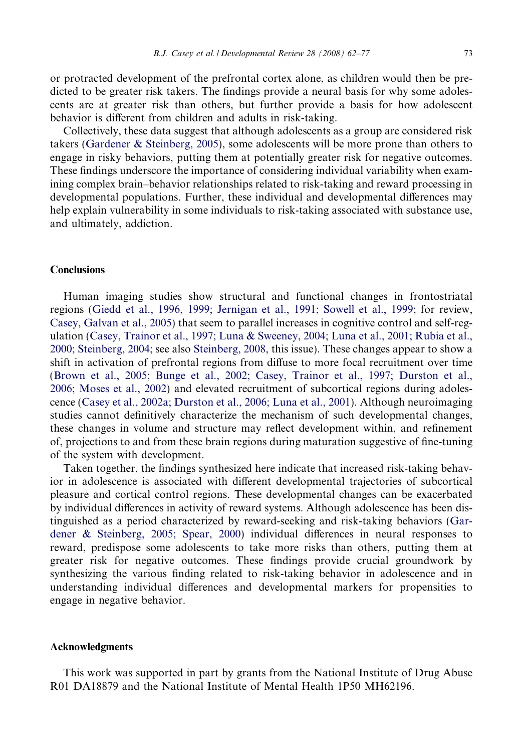or protracted development of the prefrontal cortex alone, as children would then be predicted to be greater risk takers. The findings provide a neural basis for why some adolescents are at greater risk than others, but further provide a basis for how adolescent behavior is different from children and adults in risk-taking.

Collectively, these data suggest that although adolescents as a group are considered risk takers ([Gardener & Steinberg, 2005\)](#page-13-0), some adolescents will be more prone than others to engage in risky behaviors, putting them at potentially greater risk for negative outcomes. These findings underscore the importance of considering individual variability when examining complex brain–behavior relationships related to risk-taking and reward processing in developmental populations. Further, these individual and developmental differences may help explain vulnerability in some individuals to risk-taking associated with substance use, and ultimately, addiction.

## **Conclusions**

Human imaging studies show structural and functional changes in frontostriatal regions ([Giedd et al., 1996, 1999; Jernigan et al., 1991; Sowell et al., 1999](#page-13-0); for review, [Casey, Galvan et al., 2005\)](#page-12-0) that seem to parallel increases in cognitive control and self-regulation [\(Casey, Trainor et al., 1997; Luna & Sweeney, 2004; Luna et al., 2001; Rubia et al.,](#page-12-0) [2000; Steinberg, 2004;](#page-12-0) see also [Steinberg, 2008,](#page-15-0) this issue). These changes appear to show a shift in activation of prefrontal regions from diffuse to more focal recruitment over time ([Brown et al., 2005; Bunge et al., 2002; Casey, Trainor et al., 1997; Durston et al.,](#page-12-0) [2006; Moses et al., 2002\)](#page-12-0) and elevated recruitment of subcortical regions during adolescence [\(Casey et al., 2002a; Durston et al., 2006; Luna et al., 2001](#page-12-0)). Although neuroimaging studies cannot definitively characterize the mechanism of such developmental changes, these changes in volume and structure may reflect development within, and refinement of, projections to and from these brain regions during maturation suggestive of fine-tuning of the system with development.

Taken together, the findings synthesized here indicate that increased risk-taking behavior in adolescence is associated with different developmental trajectories of subcortical pleasure and cortical control regions. These developmental changes can be exacerbated by individual differences in activity of reward systems. Although adolescence has been distinguished as a period characterized by reward-seeking and risk-taking behaviors ([Gar](#page-13-0)[dener & Steinberg, 2005; Spear, 2000\)](#page-13-0) individual differences in neural responses to reward, predispose some adolescents to take more risks than others, putting them at greater risk for negative outcomes. These findings provide crucial groundwork by synthesizing the various finding related to risk-taking behavior in adolescence and in understanding individual differences and developmental markers for propensities to engage in negative behavior.

#### Acknowledgments

This work was supported in part by grants from the National Institute of Drug Abuse R01 DA18879 and the National Institute of Mental Health 1P50 MH62196.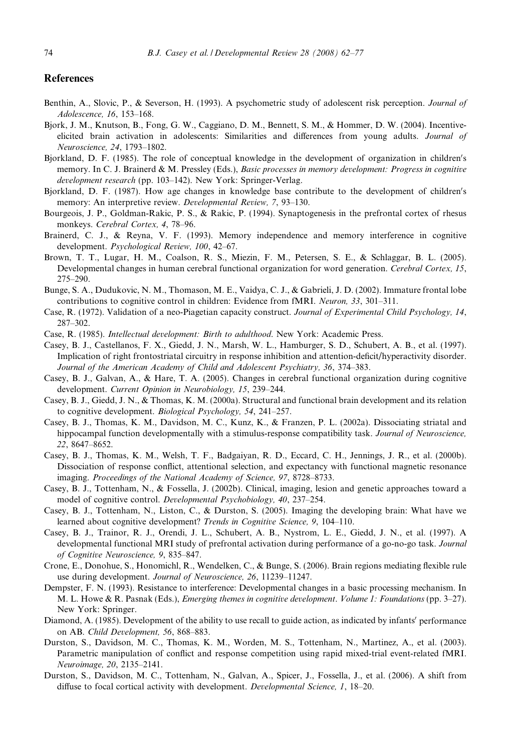#### <span id="page-12-0"></span>**References**

- Benthin, A., Slovic, P., & Severson, H. (1993). A psychometric study of adolescent risk perception. Journal of Adolescence, 16, 153–168.
- Bjork, J. M., Knutson, B., Fong, G. W., Caggiano, D. M., Bennett, S. M., & Hommer, D. W. (2004). Incentiveelicited brain activation in adolescents: Similarities and differences from young adults. Journal of Neuroscience, 24, 1793–1802.
- Bjorkland, D. F. (1985). The role of conceptual knowledge in the development of organization in children's memory. In C. J. Brainerd & M. Pressley (Eds.), Basic processes in memory development: Progress in cognitive development research (pp. 103–142). New York: Springer-Verlag.
- Bjorkland, D. F. (1987). How age changes in knowledge base contribute to the development of children's memory: An interpretive review. Developmental Review, 7, 93–130.
- Bourgeois, J. P., Goldman-Rakic, P. S., & Rakic, P. (1994). Synaptogenesis in the prefrontal cortex of rhesus monkeys. Cerebral Cortex, 4, 78–96.
- Brainerd, C. J., & Reyna, V. F. (1993). Memory independence and memory interference in cognitive development. Psychological Review, 100, 42–67.
- Brown, T. T., Lugar, H. M., Coalson, R. S., Miezin, F. M., Petersen, S. E., & Schlaggar, B. L. (2005). Developmental changes in human cerebral functional organization for word generation. Cerebral Cortex, 15, 275–290.
- Bunge, S. A., Dudukovic, N. M., Thomason, M. E., Vaidya, C. J., & Gabrieli, J. D. (2002). Immature frontal lobe contributions to cognitive control in children: Evidence from fMRI. Neuron, 33, 301-311.
- Case, R. (1972). Validation of a neo-Piagetian capacity construct. Journal of Experimental Child Psychology, 14, 287–302.
- Case, R. (1985). Intellectual development: Birth to adulthood. New York: Academic Press.
- Casey, B. J., Castellanos, F. X., Giedd, J. N., Marsh, W. L., Hamburger, S. D., Schubert, A. B., et al. (1997). Implication of right frontostriatal circuitry in response inhibition and attention-deficit/hyperactivity disorder. Journal of the American Academy of Child and Adolescent Psychiatry, 36, 374–383.
- Casey, B. J., Galvan, A., & Hare, T. A. (2005). Changes in cerebral functional organization during cognitive development. Current Opinion in Neurobiology, 15, 239–244.
- Casey, B. J., Giedd, J. N., & Thomas, K. M. (2000a). Structural and functional brain development and its relation to cognitive development. Biological Psychology, 54, 241–257.
- Casey, B. J., Thomas, K. M., Davidson, M. C., Kunz, K., & Franzen, P. L. (2002a). Dissociating striatal and hippocampal function developmentally with a stimulus-response compatibility task. Journal of Neuroscience, 22, 8647–8652.
- Casey, B. J., Thomas, K. M., Welsh, T. F., Badgaiyan, R. D., Eccard, C. H., Jennings, J. R., et al. (2000b). Dissociation of response conflict, attentional selection, and expectancy with functional magnetic resonance imaging. Proceedings of the National Academy of Science, 97, 8728–8733.
- Casey, B. J., Tottenham, N., & Fossella, J. (2002b). Clinical, imaging, lesion and genetic approaches toward a model of cognitive control. Developmental Psychobiology, 40, 237–254.
- Casey, B. J., Tottenham, N., Liston, C., & Durston, S. (2005). Imaging the developing brain: What have we learned about cognitive development? Trends in Cognitive Science, 9, 104-110.
- Casey, B. J., Trainor, R. J., Orendi, J. L., Schubert, A. B., Nystrom, L. E., Giedd, J. N., et al. (1997). A developmental functional MRI study of prefrontal activation during performance of a go-no-go task. Journal of Cognitive Neuroscience, 9, 835–847.
- Crone, E., Donohue, S., Honomichl, R., Wendelken, C., & Bunge, S. (2006). Brain regions mediating flexible rule use during development. Journal of Neuroscience, 26, 11239–11247.
- Dempster, F. N. (1993). Resistance to interference: Developmental changes in a basic processing mechanism. In M. L. Howe & R. Pasnak (Eds.), *Emerging themes in cognitive development. Volume 1: Foundations* (pp. 3–27). New York: Springer.
- Diamond, A. (1985). Development of the ability to use recall to guide action, as indicated by infants' performance on AB. Child Development, 56, 868–883.
- Durston, S., Davidson, M. C., Thomas, K. M., Worden, M. S., Tottenham, N., Martinez, A., et al. (2003). Parametric manipulation of conflict and response competition using rapid mixed-trial event-related fMRI. Neuroimage, 20, 2135–2141.
- Durston, S., Davidson, M. C., Tottenham, N., Galvan, A., Spicer, J., Fossella, J., et al. (2006). A shift from diffuse to focal cortical activity with development. Developmental Science, 1, 18-20.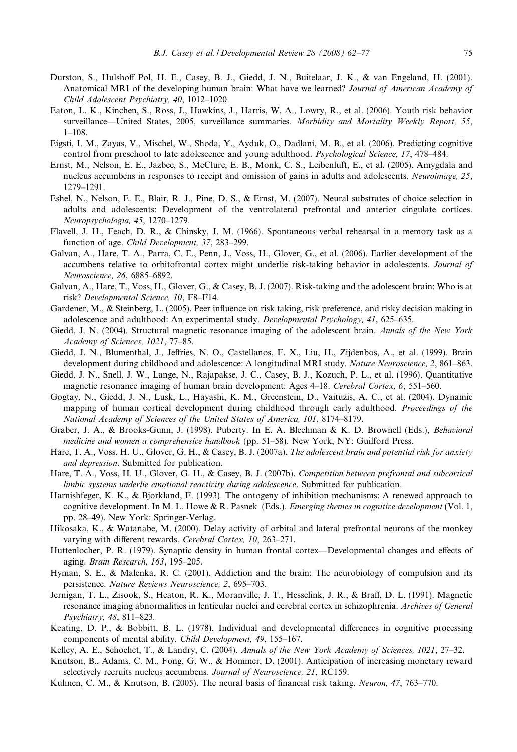- <span id="page-13-0"></span>Durston, S., Hulshoff Pol, H. E., Casey, B. J., Giedd, J. N., Buitelaar, J. K., & van Engeland, H. (2001). Anatomical MRI of the developing human brain: What have we learned? Journal of American Academy of Child Adolescent Psychiatry, 40, 1012–1020.
- Eaton, L. K., Kinchen, S., Ross, J., Hawkins, J., Harris, W. A., Lowry, R., et al. (2006). Youth risk behavior surveillance—United States, 2005, surveillance summaries. Morbidity and Mortality Weekly Report, 55, 1–108.
- Eigsti, I. M., Zayas, V., Mischel, W., Shoda, Y., Ayduk, O., Dadlani, M. B., et al. (2006). Predicting cognitive control from preschool to late adolescence and young adulthood. Psychological Science, 17, 478–484.
- Ernst, M., Nelson, E. E., Jazbec, S., McClure, E. B., Monk, C. S., Leibenluft, E., et al. (2005). Amygdala and nucleus accumbens in responses to receipt and omission of gains in adults and adolescents. Neuroimage, 25, 1279–1291.
- Eshel, N., Nelson, E. E., Blair, R. J., Pine, D. S., & Ernst, M. (2007). Neural substrates of choice selection in adults and adolescents: Development of the ventrolateral prefrontal and anterior cingulate cortices. Neuropsychologia, 45, 1270–1279.
- Flavell, J. H., Feach, D. R., & Chinsky, J. M. (1966). Spontaneous verbal rehearsal in a memory task as a function of age. Child Development, 37, 283–299.
- Galvan, A., Hare, T. A., Parra, C. E., Penn, J., Voss, H., Glover, G., et al. (2006). Earlier development of the accumbens relative to orbitofrontal cortex might underlie risk-taking behavior in adolescents. Journal of Neuroscience, 26, 6885–6892.
- Galvan, A., Hare, T., Voss, H., Glover, G., & Casey, B. J. (2007). Risk-taking and the adolescent brain: Who is at risk? Developmental Science, 10, F8–F14.
- Gardener, M., & Steinberg, L. (2005). Peer influence on risk taking, risk preference, and risky decision making in adolescence and adulthood: An experimental study. *Developmental Psychology*, 41, 625–635.
- Giedd, J. N. (2004). Structural magnetic resonance imaging of the adolescent brain. Annals of the New York Academy of Sciences, 1021, 77–85.
- Giedd, J. N., Blumenthal, J., Jeffries, N. O., Castellanos, F. X., Liu, H., Zijdenbos, A., et al. (1999). Brain development during childhood and adolescence: A longitudinal MRI study. Nature Neuroscience, 2, 861–863.
- Giedd, J. N., Snell, J. W., Lange, N., Rajapakse, J. C., Casey, B. J., Kozuch, P. L., et al. (1996). Quantitative magnetic resonance imaging of human brain development: Ages 4–18. Cerebral Cortex, 6, 551–560.
- Gogtay, N., Giedd, J. N., Lusk, L., Hayashi, K. M., Greenstein, D., Vaituzis, A. C., et al. (2004). Dynamic mapping of human cortical development during childhood through early adulthood. Proceedings of the National Academy of Sciences of the United States of America, 101, 8174–8179.
- Graber, J. A., & Brooks-Gunn, J. (1998). Puberty. In E. A. Blechman & K. D. Brownell (Eds.), Behavioral medicine and women a comprehensive handbook (pp. 51–58). New York, NY: Guilford Press.
- Hare, T. A., Voss, H. U., Glover, G. H., & Casey, B. J. (2007a). The adolescent brain and potential risk for anxiety and depression. Submitted for publication.
- Hare, T. A., Voss, H. U., Glover, G. H., & Casey, B. J. (2007b). Competition between prefrontal and subcortical limbic systems underlie emotional reactivity during adolescence. Submitted for publication.
- Harnishfeger, K. K., & Bjorkland, F. (1993). The ontogeny of inhibition mechanisms: A renewed approach to cognitive development. In M. L. Howe & R. Pasnek (Eds.). *Emerging themes in cognitive development* (Vol. 1, pp. 28–49). New York: Springer-Verlag.
- Hikosaka, K., & Watanabe, M. (2000). Delay activity of orbital and lateral prefrontal neurons of the monkey varying with different rewards. Cerebral Cortex, 10, 263–271.
- Huttenlocher, P. R. (1979). Synaptic density in human frontal cortex—Developmental changes and effects of aging. Brain Research, 163, 195–205.
- Hyman, S. E., & Malenka, R. C. (2001). Addiction and the brain: The neurobiology of compulsion and its persistence. Nature Reviews Neuroscience, 2, 695–703.
- Jernigan, T. L., Zisook, S., Heaton, R. K., Moranville, J. T., Hesselink, J. R., & Braff, D. L. (1991). Magnetic resonance imaging abnormalities in lenticular nuclei and cerebral cortex in schizophrenia. Archives of General Psychiatry, 48, 811–823.
- Keating, D. P., & Bobbitt, B. L. (1978). Individual and developmental differences in cognitive processing components of mental ability. Child Development, 49, 155–167.
- Kelley, A. E., Schochet, T., & Landry, C. (2004). Annals of the New York Academy of Sciences, 1021, 27–32.
- Knutson, B., Adams, C. M., Fong, G. W., & Hommer, D. (2001). Anticipation of increasing monetary reward selectively recruits nucleus accumbens. Journal of Neuroscience, 21, RC159.
- Kuhnen, C. M., & Knutson, B. (2005). The neural basis of financial risk taking. Neuron, 47, 763–770.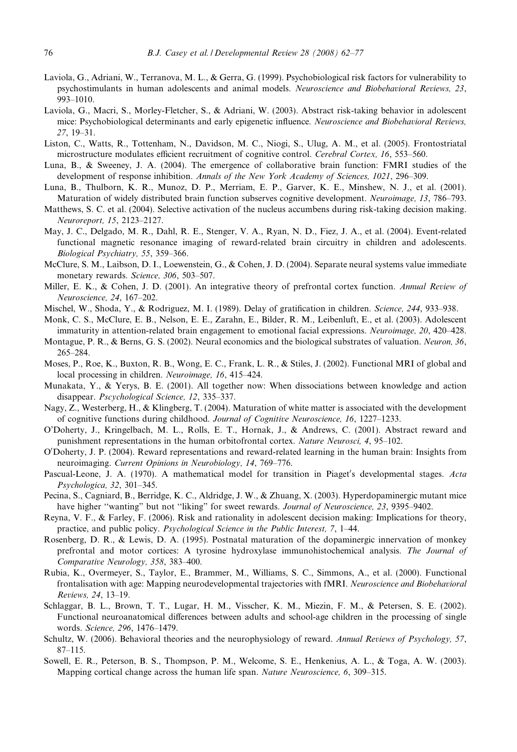- <span id="page-14-0"></span>Laviola, G., Adriani, W., Terranova, M. L., & Gerra, G. (1999). Psychobiological risk factors for vulnerability to psychostimulants in human adolescents and animal models. Neuroscience and Biobehavioral Reviews, 23, 993–1010.
- Laviola, G., Macri, S., Morley-Fletcher, S., & Adriani, W. (2003). Abstract risk-taking behavior in adolescent mice: Psychobiological determinants and early epigenetic influence. Neuroscience and Biobehavioral Reviews, 27, 19–31.
- Liston, C., Watts, R., Tottenham, N., Davidson, M. C., Niogi, S., Ulug, A. M., et al. (2005). Frontostriatal microstructure modulates efficient recruitment of cognitive control. Cerebral Cortex, 16, 553–560.
- Luna, B., & Sweeney, J. A. (2004). The emergence of collaborative brain function: FMRI studies of the development of response inhibition. Annals of the New York Academy of Sciences, 1021, 296-309.
- Luna, B., Thulborn, K. R., Munoz, D. P., Merriam, E. P., Garver, K. E., Minshew, N. J., et al. (2001). Maturation of widely distributed brain function subserves cognitive development. Neuroimage, 13, 786–793.
- Matthews, S. C. et al. (2004). Selective activation of the nucleus accumbens during risk-taking decision making. Neuroreport, 15, 2123–2127.
- May, J. C., Delgado, M. R., Dahl, R. E., Stenger, V. A., Ryan, N. D., Fiez, J. A., et al. (2004). Event-related functional magnetic resonance imaging of reward-related brain circuitry in children and adolescents. Biological Psychiatry, 55, 359–366.
- McClure, S. M., Laibson, D. I., Loewenstein, G., & Cohen, J. D. (2004). Separate neural systems value immediate monetary rewards. Science, 306, 503-507.
- Miller, E. K., & Cohen, J. D. (2001). An integrative theory of prefrontal cortex function. Annual Review of Neuroscience, 24, 167–202.
- Mischel, W., Shoda, Y., & Rodriguez, M. I. (1989). Delay of gratification in children. Science, 244, 933–938.
- Monk, C. S., McClure, E. B., Nelson, E. E., Zarahn, E., Bilder, R. M., Leibenluft, E., et al. (2003). Adolescent immaturity in attention-related brain engagement to emotional facial expressions. Neuroimage, 20, 420–428.
- Montague, P. R., & Berns, G. S. (2002). Neural economics and the biological substrates of valuation. Neuron, 36, 265–284.
- Moses, P., Roe, K., Buxton, R. B., Wong, E. C., Frank, L. R., & Stiles, J. (2002). Functional MRI of global and local processing in children. Neuroimage, 16, 415–424.
- Munakata, Y., & Yerys, B. E. (2001). All together now: When dissociations between knowledge and action disappear. Pscychological Science, 12, 335–337.
- Nagy, Z., Westerberg, H., & Klingberg, T. (2004). Maturation of white matter is associated with the development of cognitive functions during childhood. Journal of Cognitive Neuroscience, 16, 1227–1233.
- O'Doherty, J., Kringelbach, M. L., Rolls, E. T., Hornak, J., & Andrews, C. (2001). Abstract reward and punishment representations in the human orbitofrontal cortex. Nature Neurosci, 4, 95-102.
- O'Doherty, J. P. (2004). Reward representations and reward-related learning in the human brain: Insights from neuroimaging. Current Opinions in Neurobiology, 14, 769–776.
- Pascual-Leone, J. A. (1970). A mathematical model for transition in Piaget's developmental stages. Acta Psychologica, 32, 301–345.
- Pecina, S., Cagniard, B., Berridge, K. C., Aldridge, J. W., & Zhuang, X. (2003). Hyperdopaminergic mutant mice have higher "wanting" but not "liking" for sweet rewards. Journal of Neuroscience, 23, 9395-9402.
- Reyna, V. F., & Farley, F. (2006). Risk and rationality in adolescent decision making: Implications for theory, practice, and public policy. Psychological Science in the Public Interest, 7, 1–44.
- Rosenberg, D. R., & Lewis, D. A. (1995). Postnatal maturation of the dopaminergic innervation of monkey prefrontal and motor cortices: A tyrosine hydroxylase immunohistochemical analysis. The Journal of Comparative Neurology, 358, 383–400.
- Rubia, K., Overmeyer, S., Taylor, E., Brammer, M., Williams, S. C., Simmons, A., et al. (2000). Functional frontalisation with age: Mapping neurodevelopmental trajectories with fMRI. Neuroscience and Biobehavioral Reviews, 24, 13–19.
- Schlaggar, B. L., Brown, T. T., Lugar, H. M., Visscher, K. M., Miezin, F. M., & Petersen, S. E. (2002). Functional neuroanatomical differences between adults and school-age children in the processing of single words. Science, 296, 1476–1479.
- Schultz, W. (2006). Behavioral theories and the neurophysiology of reward. Annual Reviews of Psychology, 57, 87–115.
- Sowell, E. R., Peterson, B. S., Thompson, P. M., Welcome, S. E., Henkenius, A. L., & Toga, A. W. (2003). Mapping cortical change across the human life span. Nature Neuroscience, 6, 309–315.